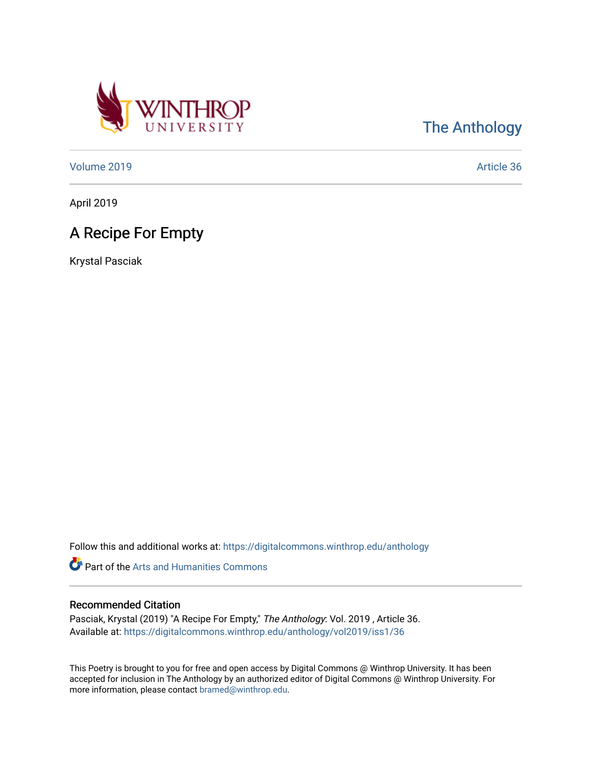

## [The Anthology](https://digitalcommons.winthrop.edu/anthology)

[Volume 2019](https://digitalcommons.winthrop.edu/anthology/vol2019) [Article 36](https://digitalcommons.winthrop.edu/anthology/vol2019/iss1/36) 

April 2019

## A Recipe For Empty

Krystal Pasciak

Follow this and additional works at: [https://digitalcommons.winthrop.edu/anthology](https://digitalcommons.winthrop.edu/anthology?utm_source=digitalcommons.winthrop.edu%2Fanthology%2Fvol2019%2Fiss1%2F36&utm_medium=PDF&utm_campaign=PDFCoverPages) 

Part of the [Arts and Humanities Commons](http://network.bepress.com/hgg/discipline/438?utm_source=digitalcommons.winthrop.edu%2Fanthology%2Fvol2019%2Fiss1%2F36&utm_medium=PDF&utm_campaign=PDFCoverPages) 

## Recommended Citation

Pasciak, Krystal (2019) "A Recipe For Empty," The Anthology: Vol. 2019 , Article 36. Available at: [https://digitalcommons.winthrop.edu/anthology/vol2019/iss1/36](https://digitalcommons.winthrop.edu/anthology/vol2019/iss1/36?utm_source=digitalcommons.winthrop.edu%2Fanthology%2Fvol2019%2Fiss1%2F36&utm_medium=PDF&utm_campaign=PDFCoverPages) 

This Poetry is brought to you for free and open access by Digital Commons @ Winthrop University. It has been accepted for inclusion in The Anthology by an authorized editor of Digital Commons @ Winthrop University. For more information, please contact [bramed@winthrop.edu](mailto:bramed@winthrop.edu).